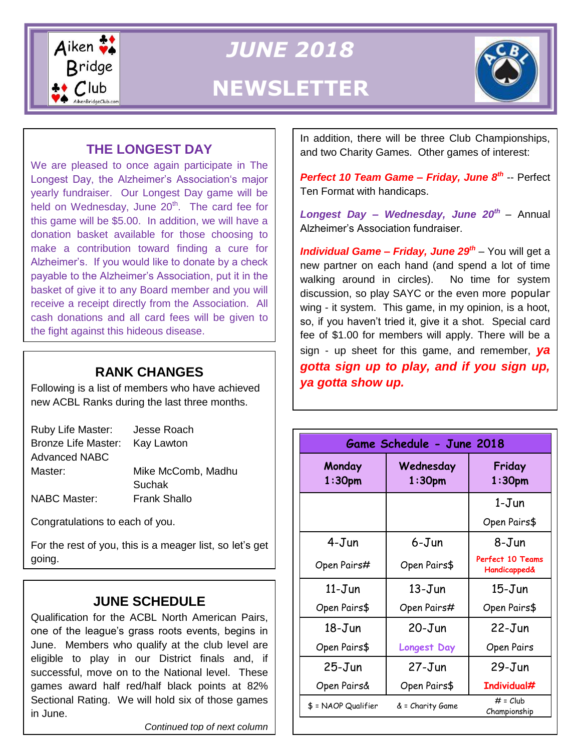

*JUNE 2018* **NEWSLETTER**



### **THE LONGEST DAY**

z payable to the Alzheimer's Association, put it in the We are pleased to once again participate in The Longest Day, the Alzheimer's Association's major yearly fundraiser. Our Longest Day game will be held on Wednesday, June  $20<sup>th</sup>$ . The card fee for this game will be \$5.00. In addition, we will have a donation basket available for those choosing to make a contribution toward finding a cure for Alzheimer's. If you would like to donate by a check basket of give it to any Board member and you will receive a receipt directly from the Association. All cash donations and all card fees will be given to the fight against this hideous disease.

#### **RANK CHANGES**

Following is a list of members who have achieved new ACBL Ranks during the last three months.

| Ruby Life Master:    | Jesse Roach         |
|----------------------|---------------------|
| Bronze Life Master:  | Kay Lawton          |
| <b>Advanced NABC</b> |                     |
| Master:              | Mike McComb, Madhu  |
|                      | <b>Suchak</b>       |
| <b>NABC Master:</b>  | <b>Frank Shallo</b> |

Congratulations to each of you.

For the rest of you, this is a meager list, so let's get going.

### **JUNE SCHEDULE**

Qualification for the ACBL North American Pairs, one of the league's grass roots events, begins in June. Members who qualify at the club level are eligible to play in our District finals and, if successful, move on to the National level. These games award half red/half black points at 82% Sectional Rating. We will hold six of those games in June.

*Continued top of next column*

In addition, there will be three Club Championships, and two Charity Games. Other games of interest:

*Perfect 10 Team Game – Friday, June 8th* -- Perfect Ten Format with handicaps.

*Longest Day – Wednesday, June 20th* – Annual Alzheimer's Association fundraiser.

*Individual Game – Friday, June 29th* – You will get a new partner on each hand (and spend a lot of time walking around in circles). No time for system discussion, so play SAYC or the even more popular wing - it system. This game, in my opinion, is a hoot, so, if you haven't tried it, give it a shot. Special card fee of \$1.00 for members will apply. There will be a sign - up sheet for this game, and remember, *ya gotta sign up to play, and if you sign up, ya gotta show up.*

| Game Schedule - June 2018    |                        |                                             |
|------------------------------|------------------------|---------------------------------------------|
| Monday<br>1:30 <sub>pm</sub> | Wednesday<br>$1:30$ pm | Friday<br>$1:30$ pm                         |
|                              |                        | 1-Jun                                       |
|                              |                        | Open Pairs\$                                |
| 4-Jun                        | 6-Jun                  | 8-Jun                                       |
| Open Pairs#                  | Open Pairs\$           | Perfect 10 Teams<br><b>Handicapped&amp;</b> |
| $11 - J$ un                  | $13 - Jun$             | $15$ -Jun                                   |
| Open Pairs\$                 | Open Pairs#            | Open Pairs\$                                |
| $18 - Jun$                   | $20 - Jun$             | $22 - Jun$                                  |
| Open Pairs\$                 | <b>Longest Day</b>     | Open Pairs                                  |
| $25 - Jun$                   | $27 - Jun$             | $29 - Jun$                                  |
| Open Pairs&                  | Open Pairs\$           | Individual#                                 |
| \$ = NAOP Qualifier          | & = Charity Game       | $# = Club$<br>Championship                  |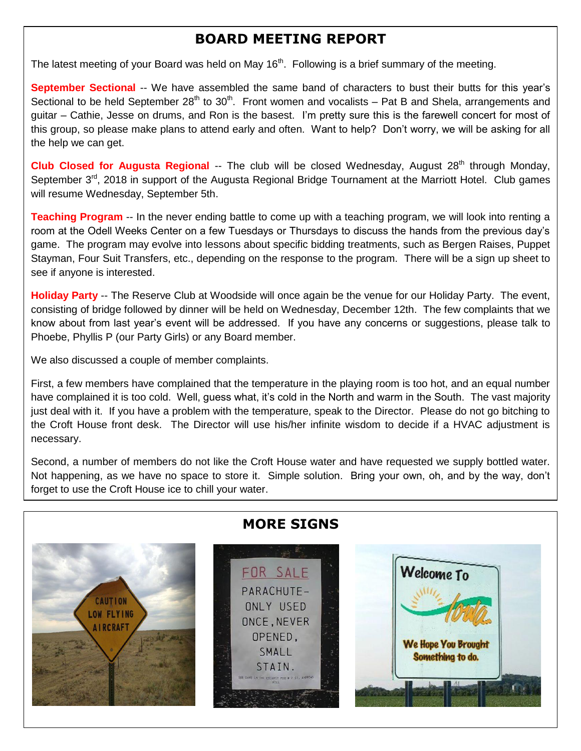## **BOARD MEETING REPORT**

The latest meeting of your Board was held on May 16<sup>th</sup>. Following is a brief summary of the meeting.

**September Sectional** -- We have assembled the same band of characters to bust their butts for this year's Sectional to be held September 28<sup>th</sup> to 30<sup>th</sup>. Front women and vocalists – Pat B and Shela, arrangements and guitar – Cathie, Jesse on drums, and Ron is the basest. I'm pretty sure this is the farewell concert for most of this group, so please make plans to attend early and often. Want to help? Don't worry, we will be asking for all the help we can get.

**Club Closed for Augusta Regional** -- The club will be closed Wednesday, August 28<sup>th</sup> through Monday, September 3<sup>rd</sup>, 2018 in support of the Augusta Regional Bridge Tournament at the Marriott Hotel. Club games will resume Wednesday, September 5th.

**Teaching Program** -- In the never ending battle to come up with a teaching program, we will look into renting a room at the Odell Weeks Center on a few Tuesdays or Thursdays to discuss the hands from the previous day's game. The program may evolve into lessons about specific bidding treatments, such as Bergen Raises, Puppet Stayman, Four Suit Transfers, etc., depending on the response to the program. There will be a sign up sheet to see if anyone is interested.

**Holiday Party** -- The Reserve Club at Woodside will once again be the venue for our Holiday Party. The event, consisting of bridge followed by dinner will be held on Wednesday, December 12th. The few complaints that we know about from last year's event will be addressed. If you have any concerns or suggestions, please talk to Phoebe, Phyllis P (our Party Girls) or any Board member.

We also discussed a couple of member complaints.

First, a few members have complained that the temperature in the playing room is too hot, and an equal number have complained it is too cold. Well, guess what, it's cold in the North and warm in the South. The vast majority just deal with it. If you have a problem with the temperature, speak to the Director. Please do not go bitching to the Croft House front desk. The Director will use his/her infinite wisdom to decide if a HVAC adjustment is necessary.

Second, a number of members do not like the Croft House water and have requested we supply bottled water. Not happening, as we have no space to store it. Simple solution. Bring your own, oh, and by the way, don't forget to use the Croft House ice to chill your water.

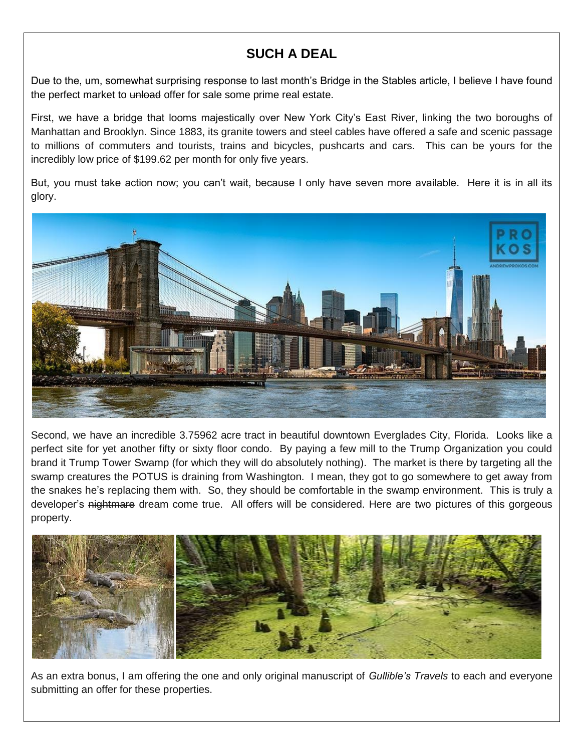# **SUCH A DEAL**

I

Due to the, um, somewhat surprising response to last month's Bridge in the Stables article, I believe I have found the perfect market to unload offer for sale some prime real estate.

First, we have a bridge that looms majestically over New York City's East River, linking the two boroughs of Manhattan and Brooklyn. Since 1883, its granite towers and steel cables have offered a safe and scenic passage to millions of commuters and tourists, trains and bicycles, pushcarts and cars. This can be yours for the incredibly low price of \$199.62 per month for only five years.

But, you must take action now; you can't wait, because I only have seven more available. Here it is in all its glory.



Second, we have an incredible 3.75962 acre tract in beautiful downtown Everglades City, Florida. Looks like a perfect site for yet another fifty or sixty floor condo. By paying a few mill to the Trump Organization you could brand it Trump Tower Swamp (for which they will do absolutely nothing). The market is there by targeting all the swamp creatures the POTUS is draining from Washington. I mean, they got to go somewhere to get away from the snakes he's replacing them with. So, they should be comfortable in the swamp environment. This is truly a developer's nightmare dream come true. All offers will be considered. Here are two pictures of this gorgeous property.



As an extra bonus, I am offering the one and only original manuscript of *Gullible's Travels* to each and everyone submitting an offer for these properties.